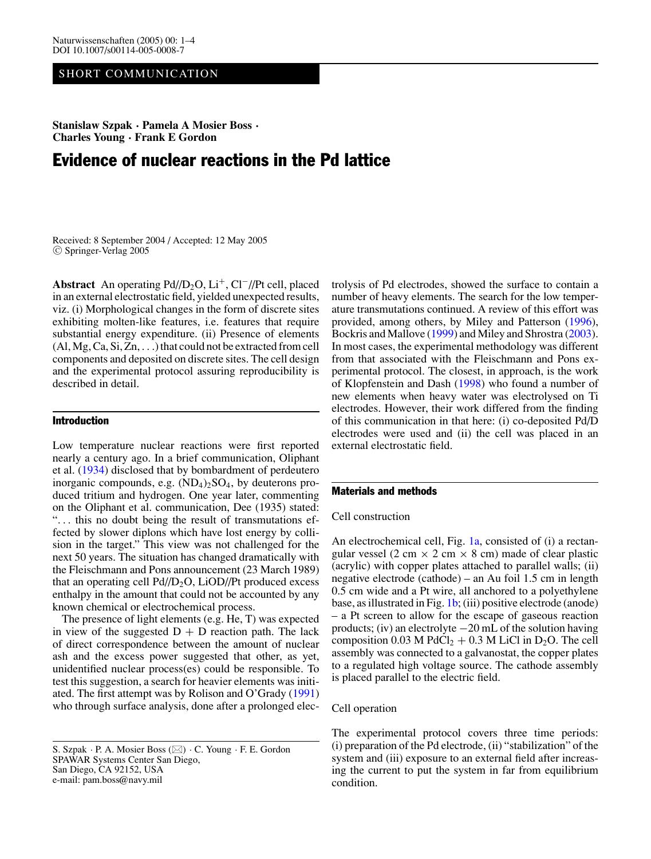# SHORT COMMUNICATION

**Stanislaw Szpak · Pamela A Mosier Boss · Charles Young · Frank E Gordon**

# Evidence of nuclear reactions in the Pd lattice

Received: 8 September 2004 / Accepted: 12 May 2005 <sup>C</sup> Springer-Verlag 2005

Abstract An operating Pd//D<sub>2</sub>O, Li<sup>+</sup>, Cl<sup>−</sup>//Pt cell, placed in an external electrostatic field, yielded unexpected results, viz. (i) Morphological changes in the form of discrete sites exhibiting molten-like features, i.e. features that require substantial energy expenditure. (ii) Presence of elements (Al, Mg, Ca, Si, Zn, ...) that could not be extracted from cell components and deposited on discrete sites. The cell design and the experimental protocol assuring reproducibility is described in detail.

# Introduction

Low temperature nuclear reactions were first reported nearly a century ago. In a brief communication, Oliphant et al. [\(1934\)](#page-3-0) disclosed that by bombardment of perdeutero inorganic compounds, e.g.  $(ND_4)_2SO_4$ , by deuterons produced tritium and hydrogen. One year later, commenting on the Oliphant et al. communication, Dee (1935) stated: "... this no doubt being the result of transmutations effected by slower diplons which have lost energy by collision in the target." This view was not challenged for the next 50 years. The situation has changed dramatically with the Fleischmann and Pons announcement (23 March 1989) that an operating cell  $Pd/D_2O$ , LiOD//Pt produced excess enthalpy in the amount that could not be accounted by any known chemical or electrochemical process.

The presence of light elements (e.g. He, T) was expected in view of the suggested  $D + D$  reaction path. The lack of direct correspondence between the amount of nuclear ash and the excess power suggested that other, as yet, unidentified nuclear process(es) could be responsible. To test this suggestion, a search for heavier elements was initiated. The first attempt was by Rolison and O'Grady [\(1991\)](#page-3-1) who through surface analysis, done after a prolonged electrolysis of Pd electrodes, showed the surface to contain a number of heavy elements. The search for the low temperature transmutations continued. A review of this effort was provided, among others, by Miley and Patterson [\(1996\)](#page-3-2), Bockris and Mallove [\(1999\)](#page-3-3) and Miley and Shrostra [\(2003\)](#page-3-4). In most cases, the experimental methodology was different from that associated with the Fleischmann and Pons experimental protocol. The closest, in approach, is the work of Klopfenstein and Dash [\(1998\)](#page-3-5) who found a number of new elements when heavy water was electrolysed on Ti electrodes. However, their work differed from the finding of this communication in that here: (i) co-deposited Pd/D electrodes were used and (ii) the cell was placed in an external electrostatic field.

# Materials and methods

# Cell construction

An electrochemical cell, Fig. [1a,](#page-1-0) consisted of (i) a rectangular vessel (2 cm  $\times$  2 cm  $\times$  8 cm) made of clear plastic (acrylic) with copper plates attached to parallel walls; (ii) negative electrode (cathode) – an Au foil 1.5 cm in length 0.5 cm wide and a Pt wire, all anchored to a polyethylene base, as illustrated in Fig. [1b;](#page-1-0) (iii) positive electrode (anode) – a Pt screen to allow for the escape of gaseous reaction products; (iv) an electrolyte −20 mL of the solution having composition 0.03 M PdCl<sub>2</sub> + 0.3 M LiCl in D<sub>2</sub>O. The cell assembly was connected to a galvanostat, the copper plates to a regulated high voltage source. The cathode assembly is placed parallel to the electric field.

## Cell operation

The experimental protocol covers three time periods: (i) preparation of the Pd electrode, (ii) "stabilization" of the system and (iii) exposure to an external field after increasing the current to put the system in far from equilibrium condition.

S. Szpak  $\cdot$  P. A. Mosier Boss ( $\boxtimes$ )  $\cdot$  C. Young  $\cdot$  F. E. Gordon SPAWAR Systems Center San Diego, San Diego, CA 92152, USA e-mail: pam.boss@navy.mil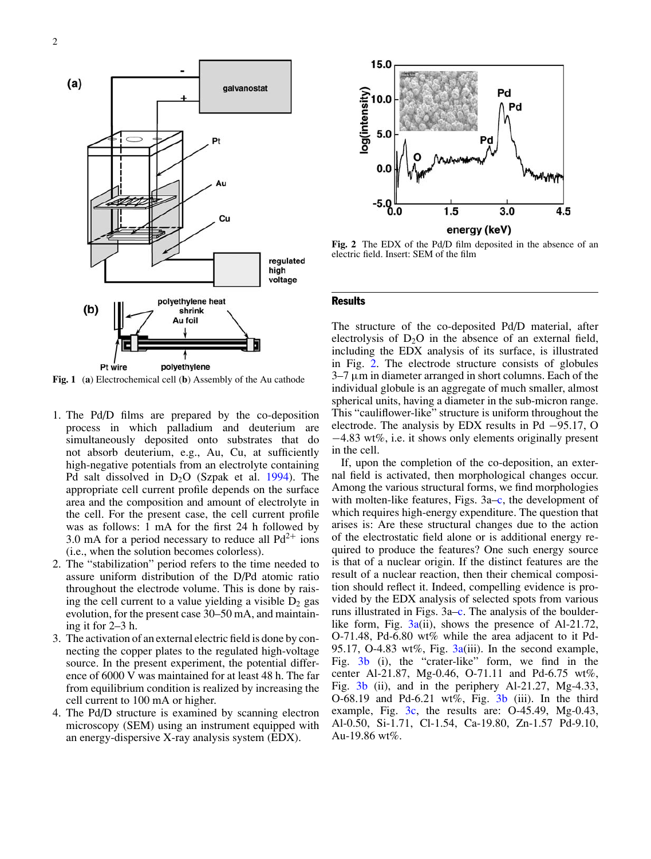<span id="page-1-0"></span>

**Fig. 1** (**a**) Electrochemical cell (**b**) Assembly of the Au cathode

- 1. The Pd/D films are prepared by the co-deposition process in which palladium and deuterium are simultaneously deposited onto substrates that do not absorb deuterium, e.g., Au, Cu, at sufficiently high-negative potentials from an electrolyte containing Pd salt dissolved in  $D_2O$  (Szpak et al. [1994\)](#page-3-6). The appropriate cell current profile depends on the surface area and the composition and amount of electrolyte in the cell. For the present case, the cell current profile was as follows: 1 mA for the first 24 h followed by 3.0 mA for a period necessary to reduce all  $Pd^{2+}$  ions (i.e., when the solution becomes colorless).
- 2. The "stabilization" period refers to the time needed to assure uniform distribution of the D/Pd atomic ratio throughout the electrode volume. This is done by raising the cell current to a value yielding a visible  $D_2$  gas evolution, for the present case 30–50 mA, and maintaining it for 2–3 h.
- 3. The activation of an external electric field is done by connecting the copper plates to the regulated high-voltage source. In the present experiment, the potential difference of 6000 V was maintained for at least 48 h. The far from equilibrium condition is realized by increasing the cell current to 100 mA or higher.
- 4. The Pd/D structure is examined by scanning electron microscopy (SEM) using an instrument equipped with an energy-dispersive X-ray analysis system (EDX).

<span id="page-1-1"></span>

**Fig. 2** The EDX of the Pd/D film deposited in the absence of an electric field. Insert: SEM of the film

#### **Results**

The structure of the co-deposited Pd/D material, after electrolysis of  $D_2O$  in the absence of an external field, including the EDX analysis of its surface, is illustrated in Fig. [2.](#page-1-1) The electrode structure consists of globules  $3-7 \mu m$  in diameter arranged in short columns. Each of the individual globule is an aggregate of much smaller, almost spherical units, having a diameter in the sub-micron range. This "cauliflower-like" structure is uniform throughout the electrode. The analysis by EDX results in Pd −95.17, O −4.83 wt%, i.e. it shows only elements originally present in the cell.

If, upon the completion of the co-deposition, an external field is activated, then morphological changes occur. Among the various structural forms, we find morphologies with molten-like features, Figs. 3a[–c,](#page-2-0) the development of which requires high-energy expenditure. The question that arises is: Are these structural changes due to the action of the electrostatic field alone or is additional energy required to produce the features? One such energy source is that of a nuclear origin. If the distinct features are the result of a nuclear reaction, then their chemical composition should reflect it. Indeed, compelling evidence is provided by the EDX analysis of selected spots from various runs illustrated in Figs. 3a[–c.](#page-2-0) The analysis of the boulderlike form, Fig.  $3a(ii)$  $3a(ii)$ , shows the presence of Al-21.72, O-71.48, Pd-6.80 wt% while the area adjacent to it Pd-95.17, O-4.83 wt%, Fig.  $3a(iii)$  $3a(iii)$ . In the second example, Fig. [3b](#page-2-0) (i), the "crater-like" form, we find in the center Al-21.87, Mg-0.46, O-71.11 and Pd-6.75 wt%, Fig.  $3b$  (ii), and in the periphery Al-21.27, Mg-4.33, O-68.19 and Pd-6.21 wt%, Fig.  $3b$  (iii). In the third example, Fig. [3c,](#page-2-0) the results are: O-45.49, Mg-0.43, Al-0.50, Si-1.71, Cl-1.54, Ca-19.80, Zn-1.57 Pd-9.10, Au-19.86 wt%.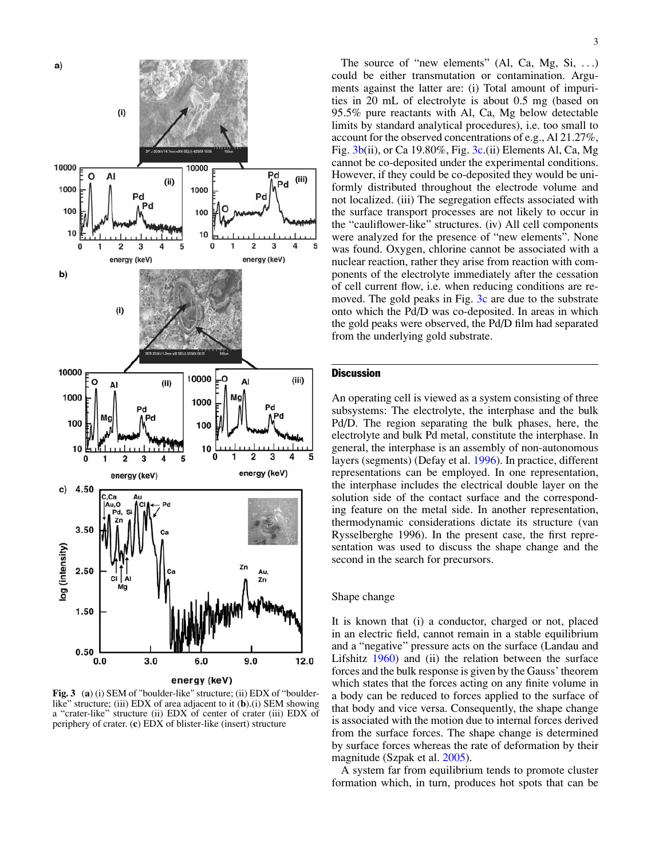<span id="page-2-0"></span>

**Fig. 3** (**a**) (i) SEM of "boulder-like" structure; (ii) EDX of "boulderlike" structure; (iii) EDX of area adjacent to it (**b**).(i) SEM showing a "crater-like" structure (ii) EDX of center of crater (iii) EDX of periphery of crater. (**c**) EDX of blister-like (insert) structure

The source of "new elements" (Al, Ca, Mg, Si, ...) could be either transmutation or contamination. Arguments against the latter are: (i) Total amount of impurities in 20 mL of electrolyte is about 0.5 mg (based on 95.5% pure reactants with Al, Ca, Mg below detectable limits by standard analytical procedures), i.e. too small to account for the observed concentrations of e.g., Al 21.27%, Fig. [3b\(](#page-2-0)ii), or Ca 19.80%, Fig. [3c.](#page-2-0)(ii) Elements Al, Ca, Mg cannot be co-deposited under the experimental conditions. However, if they could be co-deposited they would be uniformly distributed throughout the electrode volume and not localized. (iii) The segregation effects associated with the surface transport processes are not likely to occur in the "cauliflower-like" structures. (iv) All cell components were analyzed for the presence of "new elements". None was found. Oxygen, chlorine cannot be associated with a nuclear reaction, rather they arise from reaction with components of the electrolyte immediately after the cessation of cell current flow, i.e. when reducing conditions are removed. The gold peaks in Fig. [3c](#page-2-0) are due to the substrate onto which the Pd/D was co-deposited. In areas in which the gold peaks were observed, the Pd/D film had separated from the underlying gold substrate.

## **Discussion**

An operating cell is viewed as a system consisting of three subsystems: The electrolyte, the interphase and the bulk Pd/D. The region separating the bulk phases, here, the electrolyte and bulk Pd metal, constitute the interphase. In general, the interphase is an assembly of non-autonomous layers (segments) (Defay et al. [1996\)](#page-3-7). In practice, different representations can be employed. In one representation, the interphase includes the electrical double layer on the solution side of the contact surface and the corresponding feature on the metal side. In another representation, thermodynamic considerations dictate its structure (van Rysselberghe 1996). In the present case, the first representation was used to discuss the shape change and the second in the search for precursors.

#### Shape change

It is known that (i) a conductor, charged or not, placed in an electric field, cannot remain in a stable equilibrium and a "negative" pressure acts on the surface (Landau and Lifshitz [1960\)](#page-3-8) and (ii) the relation between the surface forces and the bulk response is given by the Gauss' theorem which states that the forces acting on any finite volume in a body can be reduced to forces applied to the surface of that body and vice versa. Consequently, the shape change is associated with the motion due to internal forces derived from the surface forces. The shape change is determined by surface forces whereas the rate of deformation by their magnitude (Szpak et al. [2005\)](#page-3-9).

A system far from equilibrium tends to promote cluster formation which, in turn, produces hot spots that can be